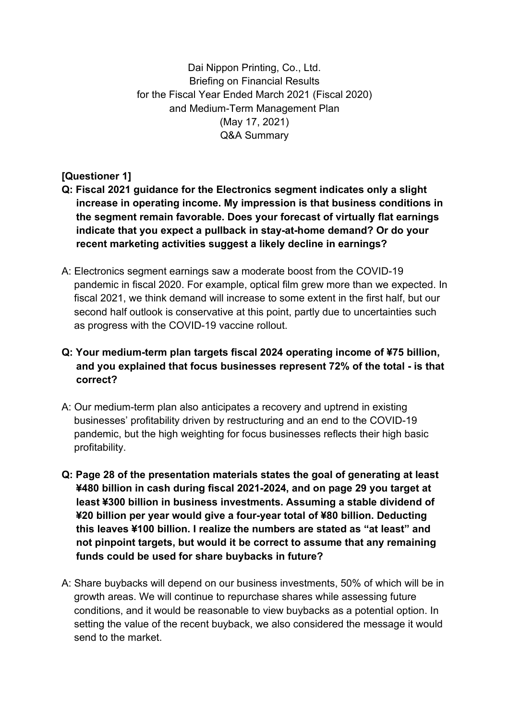Dai Nippon Printing, Co., Ltd. Briefing on Financial Results for the Fiscal Year Ended March 2021 (Fiscal 2020) and Medium-Term Management Plan (May 17, 2021) Q&A Summary

**[Questioner 1]**

- **Q: Fiscal 2021 guidance for the Electronics segment indicates only a slight increase in operating income. My impression is that business conditions in the segment remain favorable. Does your forecast of virtually flat earnings indicate that you expect a pullback in stay-at-home demand? Or do your recent marketing activities suggest a likely decline in earnings?**
- A: Electronics segment earnings saw a moderate boost from the COVID-19 pandemic in fiscal 2020. For example, optical film grew more than we expected. In fiscal 2021, we think demand will increase to some extent in the first half, but our second half outlook is conservative at this point, partly due to uncertainties such as progress with the COVID-19 vaccine rollout.

# **Q: Your medium-term plan targets fiscal 2024 operating income of ¥75 billion, and you explained that focus businesses represent 72% of the total - is that correct?**

- A: Our medium-term plan also anticipates a recovery and uptrend in existing businesses' profitability driven by restructuring and an end to the COVID-19 pandemic, but the high weighting for focus businesses reflects their high basic profitability.
- **Q: Page 28 of the presentation materials states the goal of generating at least ¥480 billion in cash during fiscal 2021-2024, and on page 29 you target at least ¥300 billion in business investments. Assuming a stable dividend of ¥20 billion per year would give a four-year total of ¥80 billion. Deducting this leaves ¥100 billion. I realize the numbers are stated as "at least" and not pinpoint targets, but would it be correct to assume that any remaining funds could be used for share buybacks in future?**
- A: Share buybacks will depend on our business investments, 50% of which will be in growth areas. We will continue to repurchase shares while assessing future conditions, and it would be reasonable to view buybacks as a potential option. In setting the value of the recent buyback, we also considered the message it would send to the market.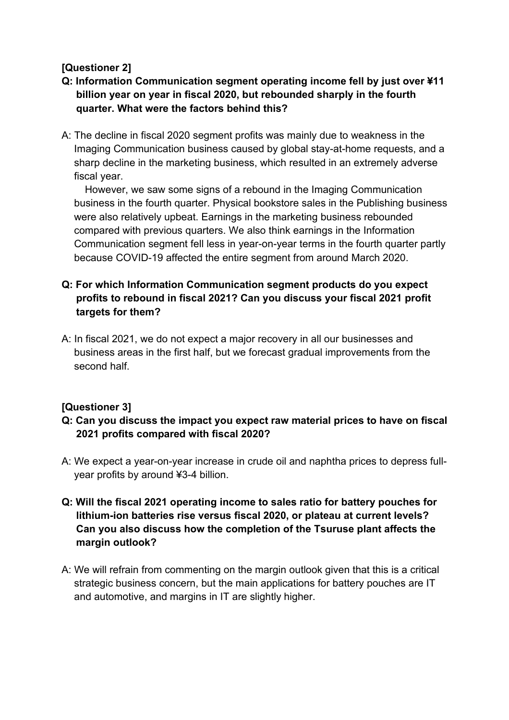# **[Questioner 2]**

- **Q: Information Communication segment operating income fell by just over ¥11 billion year on year in fiscal 2020, but rebounded sharply in the fourth quarter. What were the factors behind this?**
- A: The decline in fiscal 2020 segment profits was mainly due to weakness in the Imaging Communication business caused by global stay-at-home requests, and a sharp decline in the marketing business, which resulted in an extremely adverse fiscal year.

However, we saw some signs of a rebound in the Imaging Communication business in the fourth quarter. Physical bookstore sales in the Publishing business were also relatively upbeat. Earnings in the marketing business rebounded compared with previous quarters. We also think earnings in the Information Communication segment fell less in year-on-year terms in the fourth quarter partly because COVID-19 affected the entire segment from around March 2020.

### **Q: For which Information Communication segment products do you expect profits to rebound in fiscal 2021? Can you discuss your fiscal 2021 profit targets for them?**

A: In fiscal 2021, we do not expect a major recovery in all our businesses and business areas in the first half, but we forecast gradual improvements from the second half.

## **[Questioner 3]**

- **Q: Can you discuss the impact you expect raw material prices to have on fiscal 2021 profits compared with fiscal 2020?**
- A: We expect a year-on-year increase in crude oil and naphtha prices to depress fullyear profits by around ¥3-4 billion.
- **Q: Will the fiscal 2021 operating income to sales ratio for battery pouches for lithium-ion batteries rise versus fiscal 2020, or plateau at current levels? Can you also discuss how the completion of the Tsuruse plant affects the margin outlook?**
- A: We will refrain from commenting on the margin outlook given that this is a critical strategic business concern, but the main applications for battery pouches are IT and automotive, and margins in IT are slightly higher.